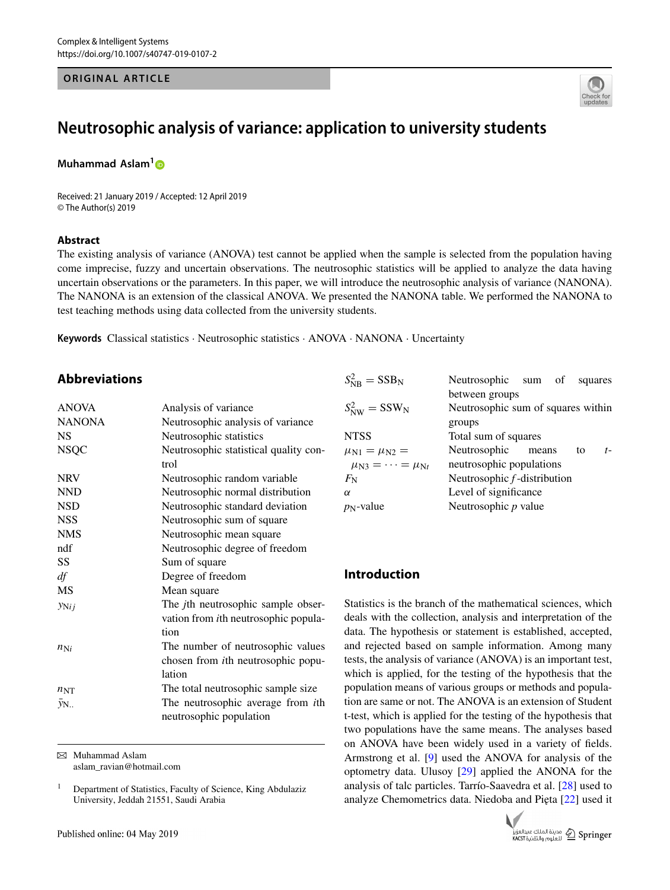### **ORIGINAL ARTICLE**



# **Neutrosophic analysis of variance: application to university students**

**Muhammad Aslam[1](http://orcid.org/0000-0003-0644-1950)**

Received: 21 January 2019 / Accepted: 12 April 2019 © The Author(s) 2019

### **Abstract**

The existing analysis of variance (ANOVA) test cannot be applied when the sample is selected from the population having come imprecise, fuzzy and uncertain observations. The neutrosophic statistics will be applied to analyze the data having uncertain observations or the parameters. In this paper, we will introduce the neutrosophic analysis of variance (NANONA). The NANONA is an extension of the classical ANOVA. We presented the NANONA table. We performed the NANONA to test teaching methods using data collected from the university students.

**Keywords** Classical statistics · Neutrosophic statistics · ANOVA · NANONA · Uncertainty

# **Abbreviations**

| <b>ANOVA</b>    | Analysis of variance                         |
|-----------------|----------------------------------------------|
| <b>NANONA</b>   | Neutrosophic analysis of variance            |
| <b>NS</b>       | Neutrosophic statistics                      |
| <b>NSQC</b>     | Neutrosophic statistical quality con-        |
|                 | trol                                         |
| <b>NRV</b>      | Neutrosophic random variable                 |
| <b>NND</b>      | Neutrosophic normal distribution             |
| <b>NSD</b>      | Neutrosophic standard deviation              |
| <b>NSS</b>      | Neutrosophic sum of square                   |
| <b>NMS</b>      | Neutrosophic mean square                     |
| ndf             | Neutrosophic degree of freedom               |
| SS              | Sum of square                                |
| df              | Degree of freedom                            |
| <b>MS</b>       | Mean square                                  |
| $y_{Ni}$        | The <i>j</i> th neutrosophic sample obser-   |
|                 | vation from <i>i</i> th neutrosophic popula- |
|                 | tion                                         |
| $n_{\rm Ni}$    | The number of neutrosophic values            |
|                 | chosen from <i>i</i> th neutrosophic popu-   |
|                 | lation                                       |
| $n_{\text{NT}}$ | The total neutrosophic sample size           |
| $\bar{y}_{N}$ . | The neutrosophic average from <i>ith</i>     |
|                 | neutrosophic population                      |

B Muhammad Aslam aslam\_ravian@hotmail.com

<sup>1</sup> Department of Statistics, Faculty of Science, King Abdulaziz University, Jeddah 21551, Saudi Arabia

| Neutrosophic sum of<br>squares     |  |  |  |  |  |
|------------------------------------|--|--|--|--|--|
| between groups                     |  |  |  |  |  |
| Neutrosophic sum of squares within |  |  |  |  |  |
| groups                             |  |  |  |  |  |
| Total sum of squares               |  |  |  |  |  |
| Neutrosophic means<br>to           |  |  |  |  |  |
| neutrosophic populations           |  |  |  |  |  |
| Neutrosophic $f$ -distribution     |  |  |  |  |  |
| Level of significance              |  |  |  |  |  |
| Neutrosophic $p$ value             |  |  |  |  |  |
|                                    |  |  |  |  |  |

# **Introduction**

Statistics is the branch of the mathematical sciences, which deals with the collection, analysis and interpretation of the data. The hypothesis or statement is established, accepted, and rejected based on sample information. Among many tests, the analysis of variance (ANOVA) is an important test, which is applied, for the testing of the hypothesis that the population means of various groups or methods and population are same or not. The ANOVA is an extension of Student t-test, which is applied for the testing of the hypothesis that two populations have the same means. The analyses based on ANOVA have been widely used in a variety of fields. Armstrong et al. [\[9\]](#page-3-0) used the ANOVA for analysis of the optometry data. Ulusoy [\[29\]](#page-4-0) applied the ANONA for the analysis of talc particles. Tarrío-Saavedra et al. [\[28\]](#page-4-1) used to analyze Chemometrics data. Niedoba and Pieta [\[22\]](#page-4-2) used it

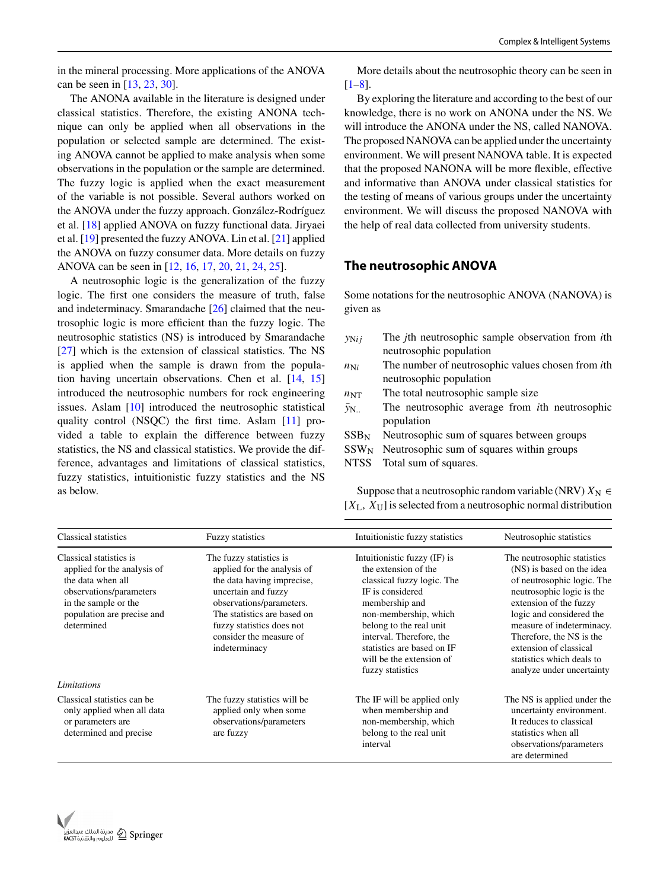in the mineral processing. More applications of the ANOVA can be seen in [\[13,](#page-4-3) [23,](#page-4-4) [30\]](#page-4-5).

The ANONA available in the literature is designed under classical statistics. Therefore, the existing ANONA technique can only be applied when all observations in the population or selected sample are determined. The existing ANOVA cannot be applied to make analysis when some observations in the population or the sample are determined. The fuzzy logic is applied when the exact measurement of the variable is not possible. Several authors worked on the ANOVA under the fuzzy approach. González-Rodríguez et al. [\[18\]](#page-4-6) applied ANOVA on fuzzy functional data. Jiryaei et al. [\[19\]](#page-4-7) presented the fuzzy ANOVA. Lin et al. [\[21\]](#page-4-8) applied the ANOVA on fuzzy consumer data. More details on fuzzy ANOVA can be seen in [\[12,](#page-4-9) [16,](#page-4-10) [17,](#page-4-11) [20,](#page-4-12) [21,](#page-4-8) [24,](#page-4-13) [25\]](#page-4-14).

A neutrosophic logic is the generalization of the fuzzy logic. The first one considers the measure of truth, false and indeterminacy. Smarandache [\[26\]](#page-4-15) claimed that the neutrosophic logic is more efficient than the fuzzy logic. The neutrosophic statistics (NS) is introduced by Smarandache [\[27\]](#page-4-16) which is the extension of classical statistics. The NS is applied when the sample is drawn from the population having uncertain observations. Chen et al. [\[14,](#page-4-17) [15\]](#page-4-18) introduced the neutrosophic numbers for rock engineering issues. Aslam [\[10\]](#page-3-1) introduced the neutrosophic statistical quality control (NSQC) the first time. Aslam [\[11\]](#page-4-19) provided a table to explain the difference between fuzzy statistics, the NS and classical statistics. We provide the difference, advantages and limitations of classical statistics, fuzzy statistics, intuitionistic fuzzy statistics and the NS as below.

More details about the neutrosophic theory can be seen in  $[1-8]$  $[1-8]$ .

By exploring the literature and according to the best of our knowledge, there is no work on ANONA under the NS. We will introduce the ANONA under the NS, called NANOVA. The proposed NANOVA can be applied under the uncertainty environment. We will present NANOVA table. It is expected that the proposed NANONA will be more flexible, effective and informative than ANOVA under classical statistics for the testing of means of various groups under the uncertainty environment. We will discuss the proposed NANOVA with the help of real data collected from university students.

### **The neutrosophic ANOVA**

Some notations for the neutrosophic ANOVA (NANOVA) is given as

| $y_{\text{N}i}$ | The <i>j</i> th neutrosophic sample observation from <i>i</i> th |
|-----------------|------------------------------------------------------------------|
|                 | neutrosophic population                                          |
| $n_{\rm Ni}$    | The number of neutrosophic values chosen from <i>i</i> th        |
|                 | neutrosophic population                                          |
| $n_{\rm NT}$    | The total neutrosophic sample size.                              |
| $\bar{y}_{N}$ . | The neutrosophic average from <i>i</i> th neutrosophic           |
|                 | population                                                       |
| $SSB_N$         | Neutrosophic sum of squares between groups                       |
| $SSW_N$         | Neutrosophic sum of squares within groups                        |
| <b>NTSS</b>     | Total sum of squares.                                            |
|                 |                                                                  |

| Suppose that a neutrosophic random variable (NRV) $X_N \in$      |  |
|------------------------------------------------------------------|--|
| $[X_L, X_U]$ is selected from a neutrosophic normal distribution |  |

| Classical statistics                                                                                                                                                                                                                                                                                                                                                                                                          | <b>Fuzzy statistics</b>                                                                        | Intuitionistic fuzzy statistics                                                                                                                                                                                                                                                        | Neutrosophic statistics                                                                                                                                                                                                                                                                                                |  |
|-------------------------------------------------------------------------------------------------------------------------------------------------------------------------------------------------------------------------------------------------------------------------------------------------------------------------------------------------------------------------------------------------------------------------------|------------------------------------------------------------------------------------------------|----------------------------------------------------------------------------------------------------------------------------------------------------------------------------------------------------------------------------------------------------------------------------------------|------------------------------------------------------------------------------------------------------------------------------------------------------------------------------------------------------------------------------------------------------------------------------------------------------------------------|--|
| Classical statistics is<br>The fuzzy statistics is<br>applied for the analysis of<br>applied for the analysis of<br>the data when all<br>the data having imprecise,<br>uncertain and fuzzy<br>observations/parameters<br>in the sample or the<br>observations/parameters.<br>The statistics are based on<br>population are precise and<br>determined<br>fuzzy statistics does not<br>consider the measure of<br>indeterminacy |                                                                                                | Intuitionistic fuzzy (IF) is<br>the extension of the<br>classical fuzzy logic. The<br>IF is considered<br>membership and<br>non-membership, which<br>belong to the real unit<br>interval. Therefore, the<br>statistics are based on IF<br>will be the extension of<br>fuzzy statistics | The neutrosophic statistics<br>(NS) is based on the idea<br>of neutrosophic logic. The<br>neutrosophic logic is the<br>extension of the fuzzy<br>logic and considered the<br>measure of indeterminacy.<br>Therefore, the NS is the<br>extension of classical<br>statistics which deals to<br>analyze under uncertainty |  |
| Limitations                                                                                                                                                                                                                                                                                                                                                                                                                   |                                                                                                |                                                                                                                                                                                                                                                                                        |                                                                                                                                                                                                                                                                                                                        |  |
| Classical statistics can be<br>only applied when all data<br>or parameters are<br>determined and precise                                                                                                                                                                                                                                                                                                                      | The fuzzy statistics will be<br>applied only when some<br>observations/parameters<br>are fuzzy | The IF will be applied only<br>when membership and<br>non-membership, which<br>belong to the real unit<br>interval                                                                                                                                                                     | The NS is applied under the<br>uncertainty environment.<br>It reduces to classical<br>statistics when all<br>observations/parameters<br>are determined                                                                                                                                                                 |  |

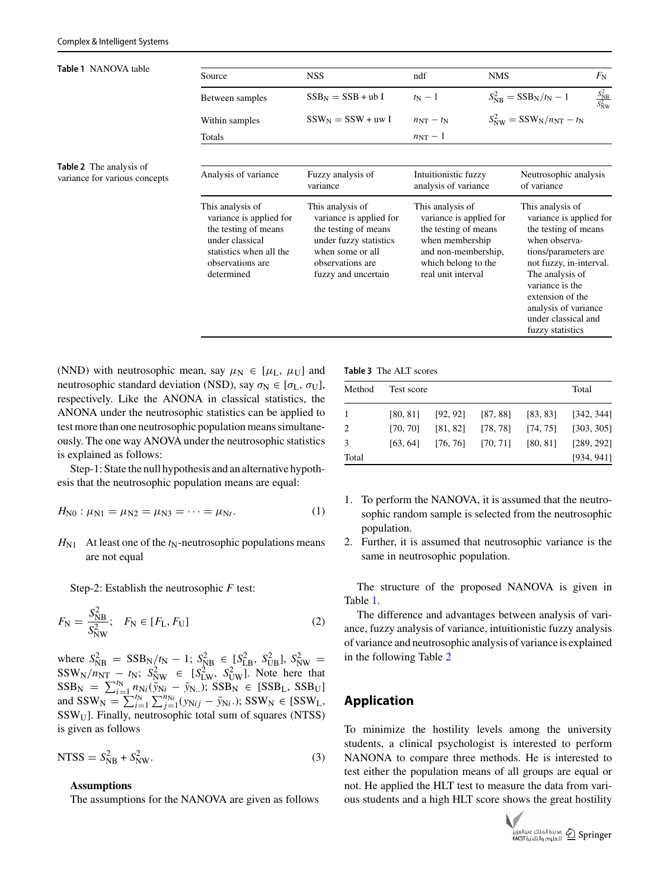#### <span id="page-2-0"></span>**Table 1** NANOVA table

<span id="page-2-1"></span>**Table 2** The analysis of variance for various concepts

| Source                                                                                                                                              | <b>NSS</b>                                                                                                                                                   | ndf                                                                                                                                                        | <b>NMS</b> |                                                                                                                                                                                                                                                                      | $F_{\rm N}$                               |
|-----------------------------------------------------------------------------------------------------------------------------------------------------|--------------------------------------------------------------------------------------------------------------------------------------------------------------|------------------------------------------------------------------------------------------------------------------------------------------------------------|------------|----------------------------------------------------------------------------------------------------------------------------------------------------------------------------------------------------------------------------------------------------------------------|-------------------------------------------|
| Between samples                                                                                                                                     | $SSB_N = SSB + ubI$                                                                                                                                          | $t_N-1$                                                                                                                                                    |            | $S_{\text{NR}}^2 = \text{SSB}_{\text{N}}/t_{\text{N}} - 1$                                                                                                                                                                                                           | $\frac{S_{\text{NB}}^2}{S_{\text{NW}}^2}$ |
| Within samples                                                                                                                                      | $SSW_N = SSW + uw I$                                                                                                                                         | $n_{\text{NT}} - t_{\text{N}}$                                                                                                                             |            | $S_{\text{NW}}^2 = \text{SSW}_{\text{N}}/n_{\text{NT}} - t_{\text{N}}$                                                                                                                                                                                               |                                           |
| Totals                                                                                                                                              |                                                                                                                                                              | $n_{\text{NT}}-1$                                                                                                                                          |            |                                                                                                                                                                                                                                                                      |                                           |
|                                                                                                                                                     |                                                                                                                                                              |                                                                                                                                                            |            |                                                                                                                                                                                                                                                                      |                                           |
| Analysis of variance                                                                                                                                | Fuzzy analysis of<br>variance                                                                                                                                | Intuitionistic fuzzy<br>analysis of variance                                                                                                               |            | Neutrosophic analysis<br>of variance                                                                                                                                                                                                                                 |                                           |
| This analysis of<br>variance is applied for<br>the testing of means<br>under classical<br>statistics when all the<br>observations are<br>determined | This analysis of<br>variance is applied for<br>the testing of means<br>under fuzzy statistics<br>when some or all<br>observations are<br>fuzzy and uncertain | This analysis of<br>variance is applied for<br>the testing of means<br>when membership<br>and non-membership,<br>which belong to the<br>real unit interval |            | This analysis of<br>variance is applied for<br>the testing of means<br>when observa-<br>tions/parameters are<br>not fuzzy, in-interval.<br>The analysis of<br>variance is the<br>extension of the<br>analysis of variance<br>under classical and<br>fuzzy statistics |                                           |

(NND) with neutrosophic mean, say  $\mu_N \in [\mu_L, \mu_U]$  and neutrosophic standard deviation (NSD), say  $\sigma_N \in [\sigma_L, \sigma_U]$ , respectively. Like the ANONA in classical statistics, the ANONA under the neutrosophic statistics can be applied to test more than one neutrosophic population means simultaneously. The one way ANOVA under the neutrosophic statistics is explained as follows:

Step-1: State the null hypothesis and an alternative hypothesis that the neutrosophic population means are equal:

$$
H_{N0}: \mu_{N1} = \mu_{N2} = \mu_{N3} = \dots = \mu_{Nt}.
$$
 (1)

 $H_{N1}$  At least one of the  $t_N$ -neutrosophic populations means are not equal

Step-2: Establish the neutrosophic *F* test:

$$
F_{\rm N} = \frac{S_{\rm NB}^2}{S_{\rm NW}^2}; \quad F_{\rm N} \in [F_{\rm L}, F_{\rm U}] \tag{2}
$$

where  $S_{\text{NB}}^2 = \text{SSB}_{\text{N}}/t_{\text{N}} - 1$ ;  $S_{\text{NB}}^2 \in [S_{\text{LB}}^2, S_{\text{UB}}^2], S_{\text{NW}}^2 = \text{SSW}_{\text{N}}/n_{\text{NT}} - t_{\text{N}}$ ;  $S_{\text{NW}}^2 \in [S_{\text{LW}}^2, S_{\text{UW}}^2]$ . Note here that  $SSB_N = \sum_{i=1}^{t_N}$  $\frac{iN}{i-1} n_{\text{N}i} (\bar{y}_{\text{N}i} - \bar{y}_{\text{N}i})$ ; SSB<sub>N</sub> ∈ [SSB<sub>L</sub>, SSB<sub>U</sub>] and SSW<sub>N</sub> =  $\sum_{i=1}^{N}$  $\sum_{i=1}^{t_N} \sum_{j=1}^{n_N}$  $\bar{y}_{j=1}^{n_{Ni}}(y_{Nij} - \bar{y}_{Ni.})$ ; SSW<sub>N</sub> ∈ [SSW<sub>L</sub>, SSWU]. Finally, neutrosophic total sum of squares (NTSS) is given as follows

$$
NTSS = S_{NB}^2 + S_{NW}^2. \tag{3}
$$

### **Assumptions**

The assumptions for the NANOVA are given as follows

### <span id="page-2-2"></span>**Table 3** The ALT scores

| Method | Test score | Total                                       |  |                                               |
|--------|------------|---------------------------------------------|--|-----------------------------------------------|
|        | [80, 81]   |                                             |  | $[92, 92]$ $[87, 88]$ $[83, 83]$ $[342, 344]$ |
| 2      | [70, 70]   | $[81, 82]$ $[78, 78]$ $[74, 75]$            |  | [303, 305]                                    |
| 3      |            | $[63, 64]$ $[76, 76]$ $[70, 71]$ $[80, 81]$ |  | [289, 292]                                    |
| Total  |            |                                             |  | [934, 941]                                    |

- 1. To perform the NANOVA, it is assumed that the neutrosophic random sample is selected from the neutrosophic population.
- 2. Further, it is assumed that neutrosophic variance is the same in neutrosophic population.

The structure of the proposed NANOVA is given in Table [1.](#page-2-0)

The difference and advantages between analysis of variance, fuzzy analysis of variance, intuitionistic fuzzy analysis of variance and neutrosophic analysis of variance is explained in the following Table [2](#page-2-1)

# **Application**

To minimize the hostility levels among the university students, a clinical psychologist is interested to perform NANONA to compare three methods. He is interested to test either the population means of all groups are equal or not. He applied the HLT test to measure the data from various students and a high HLT score shows the great hostility

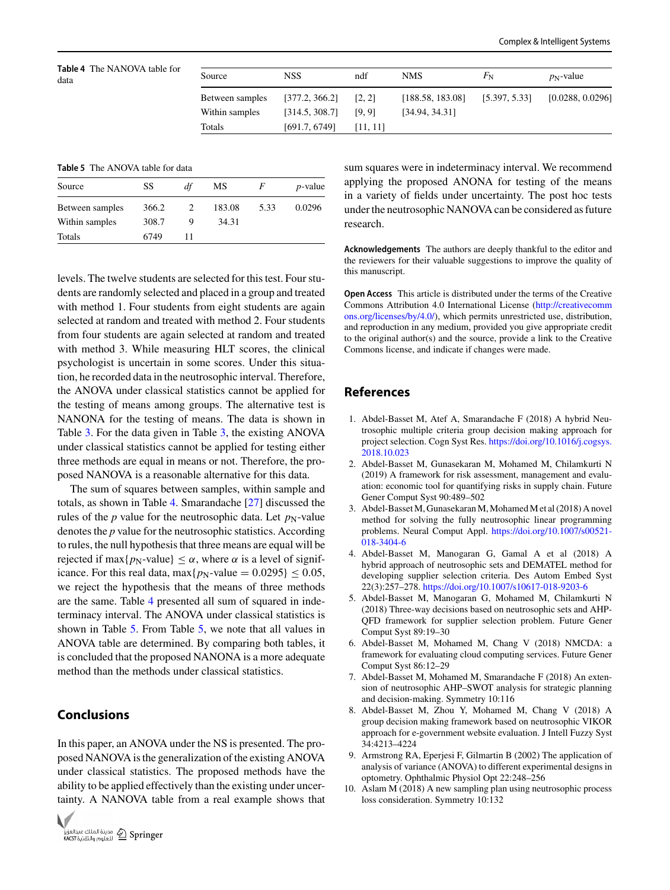<span id="page-3-4"></span>

| <b>Table 4</b> The NANOVA table for<br>data | Source          | <b>NSS</b>     | ndf      | <b>NMS</b>       | $r_{\rm N}$   | $p_N$ -value     |
|---------------------------------------------|-----------------|----------------|----------|------------------|---------------|------------------|
|                                             | Between samples | [377.2, 366.2] | [2, 2]   | [188.58, 183.08] | [5.397, 5.33] | [0.0288, 0.0296] |
|                                             | Within samples  | [314.5, 308.7] | [9, 9]   | [34.94, 34.31]   |               |                  |
|                                             | Totals          | [691.7, 6749]  | [11, 11] |                  |               |                  |

**Table 5** The ANOVA table for data

<span id="page-3-5"></span>

| Source          | SS    | df | МS     |      | $p$ -value |
|-----------------|-------|----|--------|------|------------|
| Between samples | 366.2 | 2  | 183.08 | 5.33 | 0.0296     |
| Within samples  | 308.7 | Q  | 34.31  |      |            |
| Totals          | 6749  |    |        |      |            |

levels. The twelve students are selected for this test. Four students are randomly selected and placed in a group and treated with method 1. Four students from eight students are again selected at random and treated with method 2. Four students from four students are again selected at random and treated with method 3. While measuring HLT scores, the clinical psychologist is uncertain in some scores. Under this situation, he recorded data in the neutrosophic interval. Therefore, the ANOVA under classical statistics cannot be applied for the testing of means among groups. The alternative test is NANONA for the testing of means. The data is shown in Table [3.](#page-2-2) For the data given in Table [3,](#page-2-2) the existing ANOVA under classical statistics cannot be applied for testing either three methods are equal in means or not. Therefore, the proposed NANOVA is a reasonable alternative for this data.

The sum of squares between samples, within sample and totals, as shown in Table [4.](#page-3-4) Smarandache [\[27\]](#page-4-16) discussed the rules of the  $p$  value for the neutrosophic data. Let  $p_N$ -value denotes the *p* value for the neutrosophic statistics. According to rules, the null hypothesis that three means are equal will be rejected if max $\{p_N\text{-value}\}\leq \alpha$ , where  $\alpha$  is a level of significance. For this real data,  $max\{p_N\text{-value} = 0.0295\} \le 0.05$ , we reject the hypothesis that the means of three methods are the same. Table [4](#page-3-4) presented all sum of squared in indeterminacy interval. The ANOVA under classical statistics is shown in Table [5.](#page-3-5) From Table [5,](#page-3-5) we note that all values in ANOVA table are determined. By comparing both tables, it is concluded that the proposed NANONA is a more adequate method than the methods under classical statistics.

# **Conclusions**

In this paper, an ANOVA under the NS is presented. The proposed NANOVA is the generalization of the existing ANOVA under classical statistics. The proposed methods have the ability to be applied effectively than the existing under uncertainty. A NANOVA table from a real example shows that



sum squares were in indeterminacy interval. We recommend applying the proposed ANONA for testing of the means in a variety of fields under uncertainty. The post hoc tests under the neutrosophic NANOVA can be considered as future research.

**Acknowledgements** The authors are deeply thankful to the editor and the reviewers for their valuable suggestions to improve the quality of this manuscript.

**Open Access** This article is distributed under the terms of the Creative Commons Attribution 4.0 International License [\(http://creativecomm](http://creativecommons.org/licenses/by/4.0/) [ons.org/licenses/by/4.0/\)](http://creativecommons.org/licenses/by/4.0/), which permits unrestricted use, distribution, and reproduction in any medium, provided you give appropriate credit to the original author(s) and the source, provide a link to the Creative Commons license, and indicate if changes were made.

# **References**

- <span id="page-3-2"></span>1. Abdel-Basset M, Atef A, Smarandache F (2018) A hybrid Neutrosophic multiple criteria group decision making approach for [project selection. Cogn Syst Res.](https://doi.org/10.1016/j.cogsys.2018.10.023) https://doi.org/10.1016/j.cogsys. 2018.10.023
- 2. Abdel-Basset M, Gunasekaran M, Mohamed M, Chilamkurti N (2019) A framework for risk assessment, management and evaluation: economic tool for quantifying risks in supply chain. Future Gener Comput Syst 90:489–502
- 3. Abdel-Basset M, Gunasekaran M, Mohamed M et al (2018) A novel method for solving the fully neutrosophic linear programming [problems. Neural Comput Appl.](https://doi.org/10.1007/s00521-018-3404-6) https://doi.org/10.1007/s00521- 018-3404-6
- 4. Abdel-Basset M, Manogaran G, Gamal A et al (2018) A hybrid approach of neutrosophic sets and DEMATEL method for developing supplier selection criteria. Des Autom Embed Syst 22(3):257–278. <https://doi.org/10.1007/s10617-018-9203-6>
- 5. Abdel-Basset M, Manogaran G, Mohamed M, Chilamkurti N (2018) Three-way decisions based on neutrosophic sets and AHP-QFD framework for supplier selection problem. Future Gener Comput Syst 89:19–30
- 6. Abdel-Basset M, Mohamed M, Chang V (2018) NMCDA: a framework for evaluating cloud computing services. Future Gener Comput Syst 86:12–29
- 7. Abdel-Basset M, Mohamed M, Smarandache F (2018) An extension of neutrosophic AHP–SWOT analysis for strategic planning and decision-making. Symmetry 10:116
- <span id="page-3-3"></span>8. Abdel-Basset M, Zhou Y, Mohamed M, Chang V (2018) A group decision making framework based on neutrosophic VIKOR approach for e-government website evaluation. J Intell Fuzzy Syst 34:4213–4224
- <span id="page-3-0"></span>9. Armstrong RA, Eperjesi F, Gilmartin B (2002) The application of analysis of variance (ANOVA) to different experimental designs in optometry. Ophthalmic Physiol Opt 22:248–256
- <span id="page-3-1"></span>10. Aslam M (2018) A new sampling plan using neutrosophic process loss consideration. Symmetry 10:132